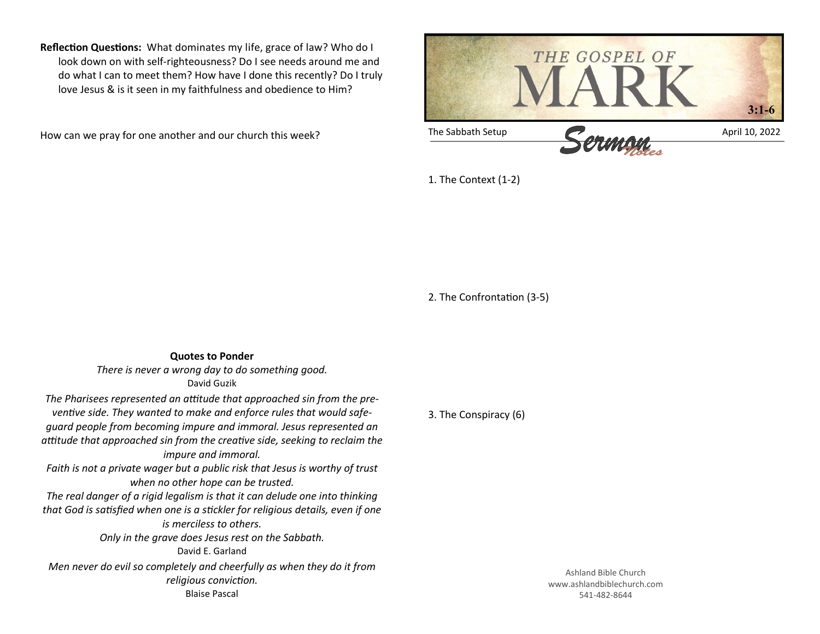**Reflection Questions:** What dominates my life, grace of law? Who do I look down on with self-righteousness? Do I see needs around me and do what I can to meet them? How have I done this recently? Do I truly love Jesus & is it seen in my faithfulness and obedience to Him?

How can we pray for one another and our church this week?



1. The Context (1-2)

2. The Confrontation (3-5)

**Quotes to Ponder** *There is never a wrong day to do something good.* David Guzik *The Pharisees represented an attitude that approached sin from the preventive side. They wanted to make and enforce rules that would safeguard people from becoming impure and immoral. Jesus represented an attitude that approached sin from the creative side, seeking to reclaim the impure and immoral. Faith is not a private wager but a public risk that Jesus is worthy of trust when no other hope can be trusted. The real danger of a rigid legalism is that it can delude one into thinking that God is satisfied when one is a stickler for religious details, even if one is merciless to others. Only in the grave does Jesus rest on the Sabbath.* David E. Garland *Men never do evil so completely and cheerfully as when they do it from religious conviction.* Blaise Pascal

3. The Conspiracy (6)

Ashland Bible Church www.ashlandbiblechurch.com 541-482-8644